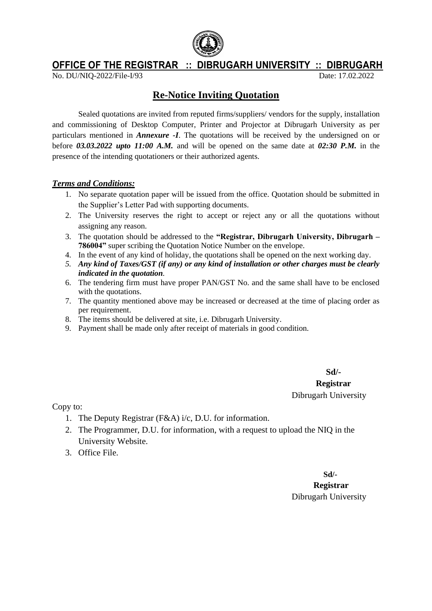

## **OFFICE OF THE REGISTRAR :: DIBRUGARH UNIVERSITY :: DIBRUGARH**

No. DU/NIQ-2022/File-I/93 Date: 17.02.2022

## **Re-Notice Inviting Quotation**

Sealed quotations are invited from reputed firms/suppliers/ vendors for the supply, installation and commissioning of Desktop Computer, Printer and Projector at Dibrugarh University as per particulars mentioned in *Annexure -I*. The quotations will be received by the undersigned on or before *03.03.2022 upto 11:00 A.M.* and will be opened on the same date at *02:30 P.M.* in the presence of the intending quotationers or their authorized agents.

## *Terms and Conditions:*

- 1. No separate quotation paper will be issued from the office. Quotation should be submitted in the Supplier's Letter Pad with supporting documents.
- 2. The University reserves the right to accept or reject any or all the quotations without assigning any reason.
- 3. The quotation should be addressed to the **"Registrar, Dibrugarh University, Dibrugarh – 786004"** super scribing the Quotation Notice Number on the envelope.
- 4. In the event of any kind of holiday, the quotations shall be opened on the next working day.
- *5. Any kind of Taxes/GST (if any) or any kind of installation or other charges must be clearly indicated in the quotation.*
- 6. The tendering firm must have proper PAN/GST No. and the same shall have to be enclosed with the quotations.
- 7. The quantity mentioned above may be increased or decreased at the time of placing order as per requirement.
- 8. The items should be delivered at site, i.e. Dibrugarh University.
- 9. Payment shall be made only after receipt of materials in good condition.

**Sd/- Registrar** Dibrugarh University

Copy to:

- 1. The Deputy Registrar (F&A) i/c, D.U. for information.
- 2. The Programmer, D.U. for information, with a request to upload the NIQ in the University Website.
- 3. Office File.

 **Sd/-**

**Registrar** Dibrugarh University